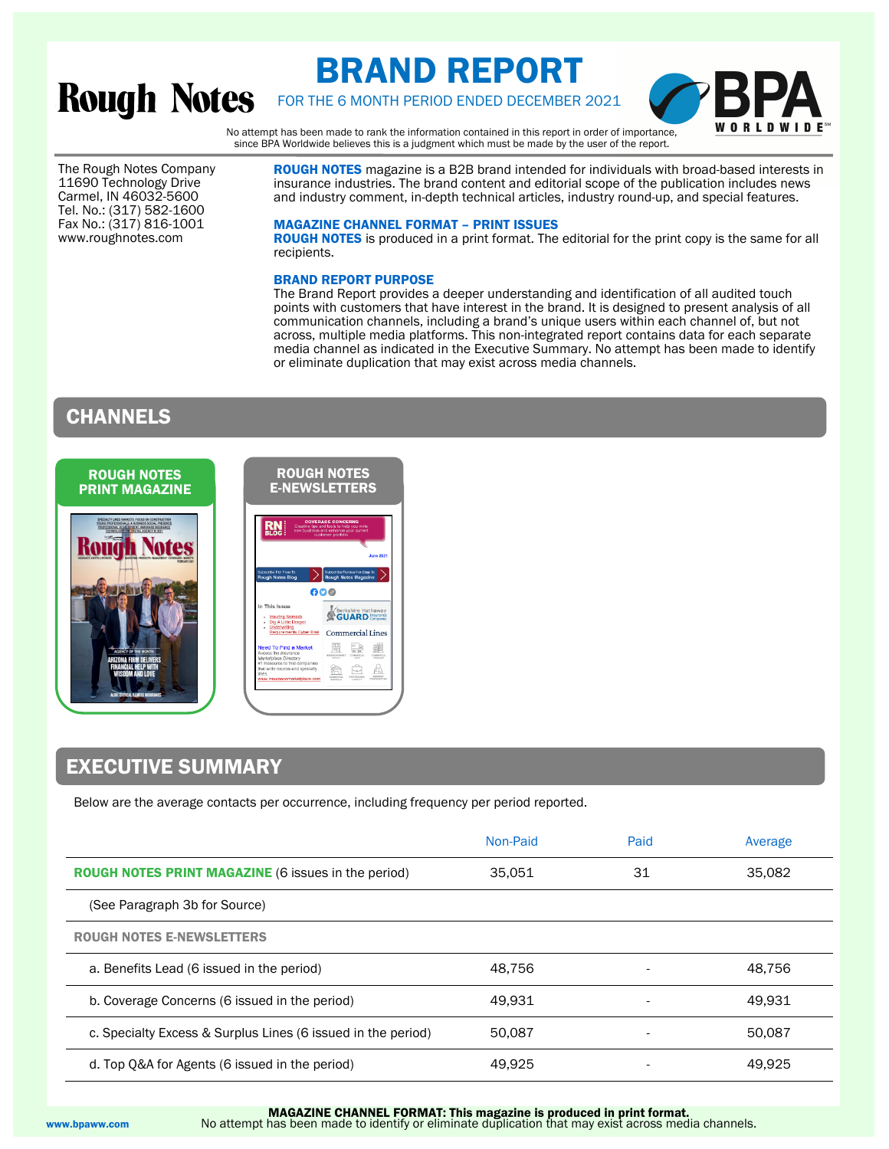# **Rough Notes**

# BRAND REPORT



FOR THE 6 MONTH PERIOD ENDED DECEMBER 2021

No attempt has been made to rank the information contained in this report in order of importance, since BPA Worldwide believes this is a judgment which must be made by the user of the report.

The Rough Notes Company 11690 Technology Drive Carmel, IN 46032-5600 Tel. No.: (317) 582-1600 Fax No.: (317) 816-1001 www.roughnotes.com

**ROUGH NOTES** magazine is a B2B brand intended for individuals with broad-based interests in insurance industries. The brand content and editorial scope of the publication includes news and industry comment, in-depth technical articles, industry round-up, and special features.

## MAGAZINE CHANNEL FORMAT – PRINT ISSUES

ROUGH NOTES is produced in a print format. The editorial for the print copy is the same for all recipients.

## BRAND REPORT PURPOSE

The Brand Report provides a deeper understanding and identification of all audited touch points with customers that have interest in the brand. It is designed to present analysis of all communication channels, including a brand's unique users within each channel of, but not across, multiple media platforms. This non-integrated report contains data for each separate media channel as indicated in the Executive Summary. No attempt has been made to identify or eliminate duplication that may exist across media channels.

# CHANNELS



### ROUGH NOTES E-NEWSLETTERS



# EXECUTIVE SUMMARY

Below are the average contacts per occurrence, including frequency per period reported.

|                                                              | Non-Paid | Paid | Average |
|--------------------------------------------------------------|----------|------|---------|
| <b>ROUGH NOTES PRINT MAGAZINE (6 issues in the period)</b>   | 35.051   | 31   | 35.082  |
| (See Paragraph 3b for Source)                                |          |      |         |
| <b>ROUGH NOTES E-NEWSLETTERS</b>                             |          |      |         |
| a. Benefits Lead (6 issued in the period)                    | 48.756   |      | 48.756  |
| b. Coverage Concerns (6 issued in the period)                | 49.931   |      | 49.931  |
| c. Specialty Excess & Surplus Lines (6 issued in the period) | 50.087   |      | 50.087  |
| d. Top Q&A for Agents (6 issued in the period)               | 49.925   |      | 49.925  |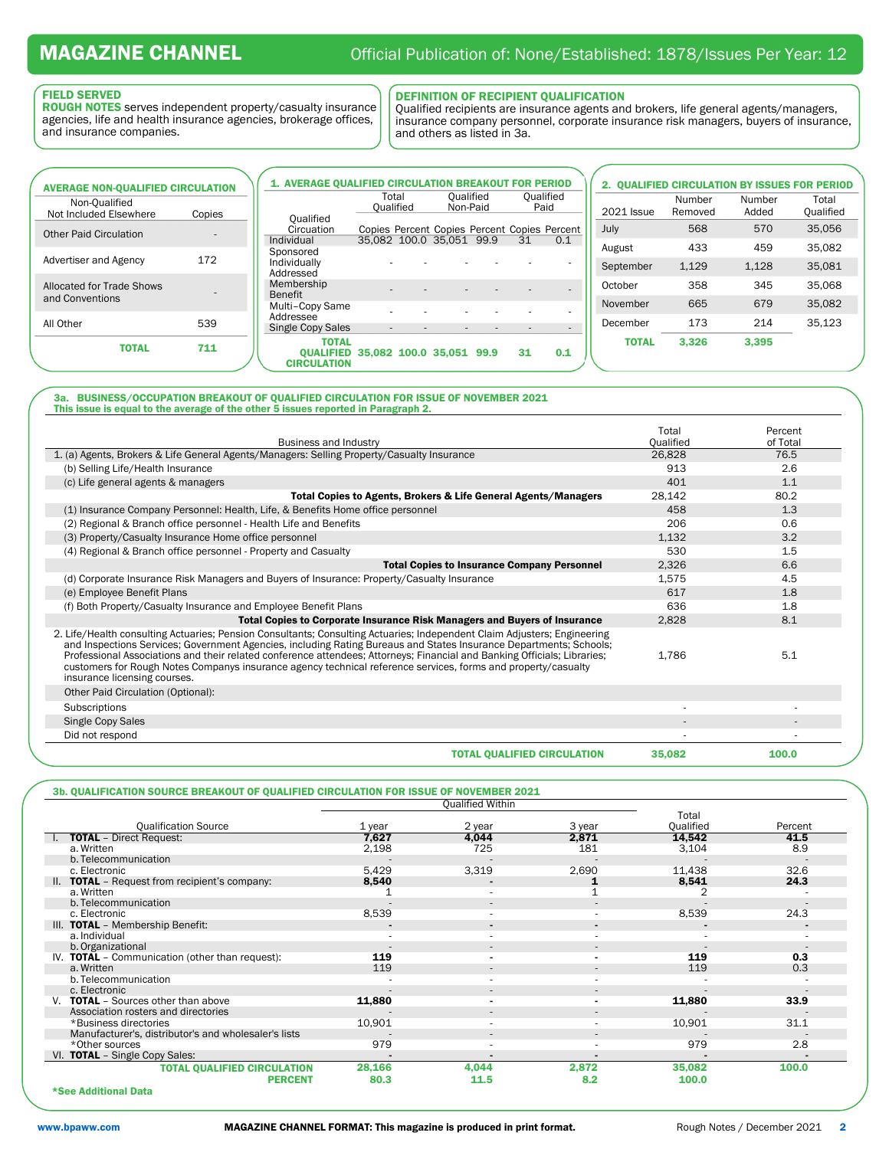# FIELD SERVED

ROUGH NOTES serves independent property/casualty insurance agencies, life and health insurance agencies, brokerage offices, and insurance companies.

DEFINITION OF RECIPIENT QUALIFICATION<br>Qualified recipients are insurance agents and brokers, life general agents/managers, insurance company personnel, corporate insurance risk managers, buyers of insurance, and others as listed in 3a. L

| <b>AVERAGE NON-QUALIFIED CIRCULATION</b> |                          | <b>1. AVERAGE OUALIFIED CIRCULATION BREAKOUT FOR PERIOD</b>     |                                                                          |                       |    |                   |              |                   |                 | 2. OUALIFIED CIRCULATION BY ISSUES FOR PERIOD |
|------------------------------------------|--------------------------|-----------------------------------------------------------------|--------------------------------------------------------------------------|-----------------------|----|-------------------|--------------|-------------------|-----------------|-----------------------------------------------|
| Non-Oualified<br>Not Included Elsewhere  | Copies                   | <b>Oualified</b>                                                | Total<br>Oualified                                                       | Oualified<br>Non-Paid |    | Qualified<br>Paid | 2021 Issue   | Number<br>Removed | Number<br>Added | Total<br>Qualified                            |
| <b>Other Paid Circulation</b>            | $\overline{\phantom{a}}$ | Circuation<br>Individual                                        | Copies Percent Copies Percent Copies Percent<br>35.082 100.0 35.051 99.9 |                       | 31 | 0.1               | July         | 568               | 570             | 35,056                                        |
|                                          |                          | Sponsored                                                       |                                                                          |                       |    |                   | August       | 433               | 459             | 35,082                                        |
| Advertiser and Agency                    | 172                      | Individually<br>Addressed                                       |                                                                          |                       |    |                   | September    | 1,129             | 1.128           | 35,081                                        |
| Allocated for Trade Shows                |                          | Membership<br>Benefit                                           |                                                                          |                       |    |                   | October      | 358               | 345             | 35,068                                        |
| and Conventions                          |                          | Multi-Copy Same                                                 |                                                                          |                       |    |                   | November     | 665               | 679             | 35,082                                        |
| All Other                                | 539                      | Addressee<br>Single Copy Sales                                  |                                                                          |                       |    |                   | December     | 173               | 214             | 35,123                                        |
|                                          |                          | <b>TOTAL</b>                                                    | $\overline{\phantom{a}}$                                                 |                       |    |                   | <b>TOTAL</b> | 3.326             | 3.395           |                                               |
| <b>TOTAL</b>                             | 711                      | <b>OUALIFIED 35.082 100.0 35.051 99.9</b><br><b>CIRCULATION</b> |                                                                          |                       | 31 | 0.1               |              |                   |                 |                                               |

### 3a. BUSINESS/OCCUPATION BREAKOUT OF QUALIFIED CIRCULATION FOR ISSUE OF NOVEMBER 2021 This issue is equal to the average of the other 5 issues reported in Paragraph 2.

| <b>Business and Industry</b>                                                                                                                                                                                                                                                                                                                                                                                                                                                                                                | Total<br>Oualified | Percent<br>of Total |
|-----------------------------------------------------------------------------------------------------------------------------------------------------------------------------------------------------------------------------------------------------------------------------------------------------------------------------------------------------------------------------------------------------------------------------------------------------------------------------------------------------------------------------|--------------------|---------------------|
| 1. (a) Agents, Brokers & Life General Agents/Managers: Selling Property/Casualty Insurance                                                                                                                                                                                                                                                                                                                                                                                                                                  | 26,828             | 76.5                |
| (b) Selling Life/Health Insurance                                                                                                                                                                                                                                                                                                                                                                                                                                                                                           | 913                | 2.6                 |
| (c) Life general agents & managers                                                                                                                                                                                                                                                                                                                                                                                                                                                                                          | 401                | 1.1                 |
| Total Copies to Agents, Brokers & Life General Agents/Managers                                                                                                                                                                                                                                                                                                                                                                                                                                                              | 28,142             | 80.2                |
| (1) Insurance Company Personnel: Health, Life, & Benefits Home office personnel                                                                                                                                                                                                                                                                                                                                                                                                                                             | 458                | 1.3                 |
| (2) Regional & Branch office personnel - Health Life and Benefits                                                                                                                                                                                                                                                                                                                                                                                                                                                           | 206                | 0.6                 |
| (3) Property/Casualty Insurance Home office personnel                                                                                                                                                                                                                                                                                                                                                                                                                                                                       | 1,132              | 3.2                 |
| (4) Regional & Branch office personnel - Property and Casualty                                                                                                                                                                                                                                                                                                                                                                                                                                                              | 530                | 1.5                 |
| <b>Total Copies to Insurance Company Personnel</b>                                                                                                                                                                                                                                                                                                                                                                                                                                                                          | 2,326              | 6.6                 |
| (d) Corporate Insurance Risk Managers and Buyers of Insurance: Property/Casualty Insurance                                                                                                                                                                                                                                                                                                                                                                                                                                  | 1,575              | 4.5                 |
| (e) Employee Benefit Plans                                                                                                                                                                                                                                                                                                                                                                                                                                                                                                  | 617                | 1.8                 |
| (f) Both Property/Casualty Insurance and Employee Benefit Plans                                                                                                                                                                                                                                                                                                                                                                                                                                                             | 636                | 1.8                 |
| <b>Total Copies to Corporate Insurance Risk Managers and Buyers of Insurance</b>                                                                                                                                                                                                                                                                                                                                                                                                                                            | 2,828              | 8.1                 |
| 2. Life/Health consulting Actuaries; Pension Consultants; Consulting Actuaries; Independent Claim Adjusters; Engineering<br>and Inspections Services; Government Agencies, including Rating Bureaus and States Insurance Departments; Schools;<br>Professional Associations and their related conference attendees; Attorneys; Financial and Banking Officials; Libraries;<br>customers for Rough Notes Companys insurance agency technical reference services, forms and property/casualty<br>insurance licensing courses. | 1.786              | 5.1                 |
| Other Paid Circulation (Optional):                                                                                                                                                                                                                                                                                                                                                                                                                                                                                          |                    |                     |
| Subscriptions                                                                                                                                                                                                                                                                                                                                                                                                                                                                                                               |                    |                     |
| Single Copy Sales                                                                                                                                                                                                                                                                                                                                                                                                                                                                                                           |                    |                     |
| Did not respond                                                                                                                                                                                                                                                                                                                                                                                                                                                                                                             |                    |                     |
| <b>TOTAL OUALIFIED CIRCULATION</b>                                                                                                                                                                                                                                                                                                                                                                                                                                                                                          | 35,082             | 100.0               |

# 3b. QUALIFICATION SOURCE BREAKOUT OF QUALIFIED CIRCULATION FOR ISSUE OF NOVEMBER 2021

|                                                      | <b>Qualified Within</b> |                          |                |                          |                          |
|------------------------------------------------------|-------------------------|--------------------------|----------------|--------------------------|--------------------------|
|                                                      |                         |                          |                | Total                    |                          |
| <b>Qualification Source</b>                          | 1 year                  | 2 year                   | 3 year         | Qualified                | Percent                  |
| <b>TOTAL</b> - Direct Request:                       | 7,627                   | 4,044                    | 2,871          | 14,542                   | 41.5                     |
| a. Written                                           | 2,198                   | 725                      | 181            | 3,104                    | 8.9                      |
| b. Telecommunication                                 |                         |                          |                |                          |                          |
| c. Electronic                                        | 5,429                   | 3,319                    | 2,690          | 11,438                   | 32.6                     |
| II. TOTAL - Request from recipient's company:        | 8,540                   | $\overline{\phantom{0}}$ |                | 8,541                    | 24.3                     |
| a. Written                                           |                         | ٠                        |                |                          |                          |
| b. Telecommunication                                 |                         | $\sim$                   | $\sim$         |                          |                          |
| c. Electronic                                        | 8,539                   |                          |                | 8,539                    | 24.3                     |
| III. TOTAL - Membership Benefit:                     |                         | ۰.                       | $\blacksquare$ |                          |                          |
| a. Individual                                        |                         | ٠                        | $\sim$         | $\overline{\phantom{a}}$ | ٠                        |
| b. Organizational                                    |                         | $\sim$                   | $\sim$         |                          |                          |
| IV. TOTAL - Communication (other than request):      | 119                     | $\blacksquare$           |                | 119                      | 0.3                      |
| a. Written                                           | 119                     | $\sim$                   | $\sim$         | 119                      | 0.3                      |
| b. Telecommunication                                 |                         | ٠                        |                |                          |                          |
| c. Electronic                                        |                         | $\sim$                   | $\sim$         |                          | $\overline{\phantom{a}}$ |
| V. TOTAL - Sources other than above                  | 11,880                  |                          |                | 11,880                   | 33.9                     |
| Association rosters and directories                  |                         | $\sim$                   | $\sim$         |                          |                          |
| *Business directories                                | 10,901                  | ٠                        | $\sim$         | 10,901                   | 31.1                     |
| Manufacturer's, distributor's and wholesaler's lists |                         | $\overline{\phantom{a}}$ | $\sim$         |                          |                          |
| *Other sources                                       | 979                     | ۰                        |                | 979                      | 2.8                      |
| VI. TOTAL - Single Copy Sales:                       |                         |                          |                |                          |                          |
| <b>TOTAL QUALIFIED CIRCULATION</b>                   | 28,166                  | 4,044                    | 2,872          | 35,082                   | 100.0                    |
| <b>PERCENT</b>                                       | 80.3                    | 11.5                     | 8.2            | 100.0                    |                          |
| *See Additional Data                                 |                         |                          |                |                          |                          |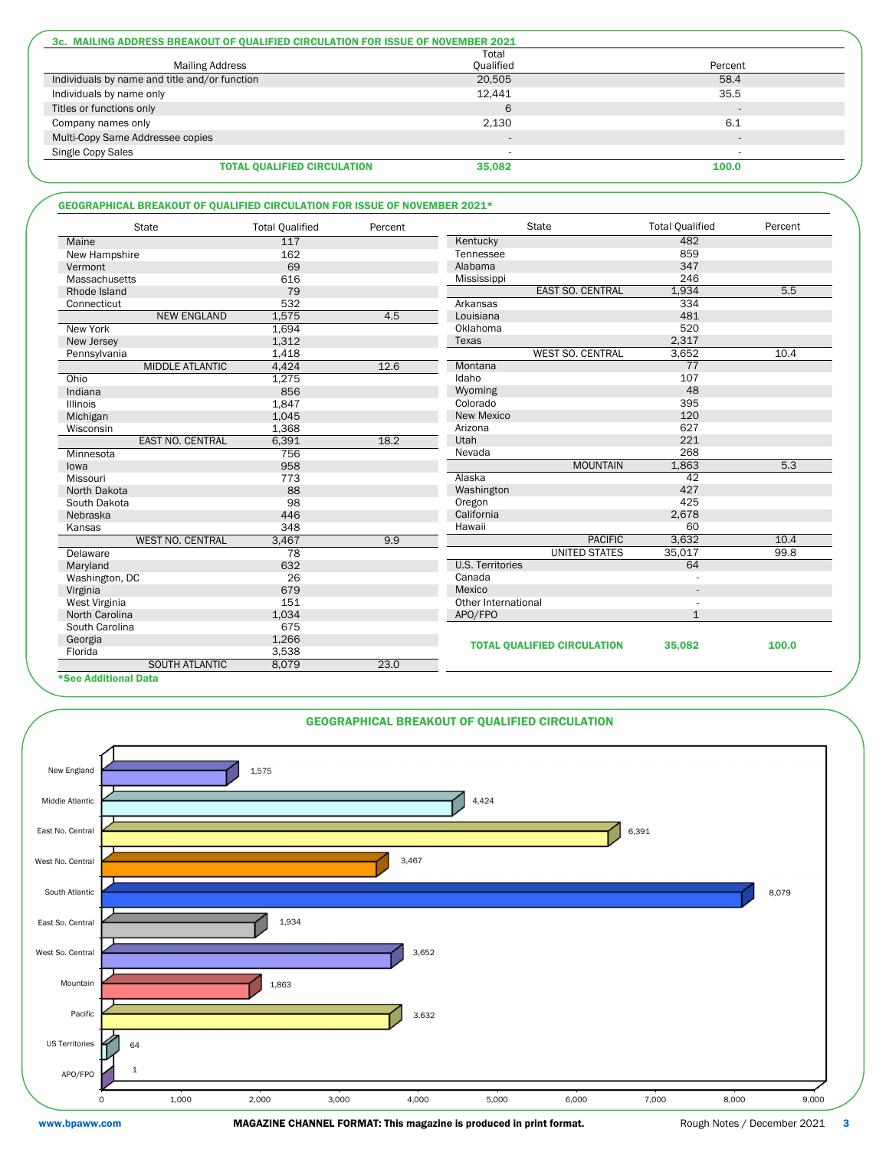| 3c. MAILING ADDRESS BREAKOUT OF OUALIFIED CIRCULATION FOR ISSUE OF NOVEMBER 2021 |                    |         |
|----------------------------------------------------------------------------------|--------------------|---------|
| <b>Mailing Address</b>                                                           | Total<br>Qualified | Percent |
| Individuals by name and title and/or function                                    | 20,505             | 58.4    |
| Individuals by name only                                                         | 12,441             | 35.5    |
| Titles or functions only                                                         |                    |         |
| Company names only                                                               | 2.130              | 6.1     |
| Multi-Copy Same Addressee copies                                                 |                    | $\sim$  |
| Single Copy Sales                                                                |                    |         |
| <b>TOTAL QUALIFIED CIRCULATION</b>                                               | 35,082             | 100.0   |

| <b>GEOGRAPHICAL BREAKOUT OF QUALIFIED CIRCULATION FOR ISSUE OF NOVEMBER 2021*</b> |                          |         |             |                          |       |
|-----------------------------------------------------------------------------------|--------------------------|---------|-------------|--------------------------|-------|
| <b>State</b>                                                                      | <b>Total Qualified</b>   | Percent |             | <b>State</b>             | Total |
| Maine                                                                             | 117                      |         | Kentucky    |                          |       |
| New Hampshire                                                                     | 162                      |         | Tennessee   |                          |       |
| Vermont                                                                           | 69                       |         | Alabama     |                          |       |
| <b>Massachusetts</b>                                                              | 616                      |         | Mississippi |                          |       |
| <b>District Contracts</b>                                                         | $\overline{\phantom{a}}$ |         |             | <b>FICT CO. OFNITDAL</b> |       |

| <b>State</b>            | <b>Total Qualified</b> | Percent | State                              | <b>Total Qualified</b> | Percent |
|-------------------------|------------------------|---------|------------------------------------|------------------------|---------|
| Maine                   | 117                    |         | Kentucky                           | 482                    |         |
| New Hampshire           | 162                    |         | Tennessee                          | 859                    |         |
| Vermont                 | 69                     |         | Alabama                            | 347                    |         |
| Massachusetts           | 616                    |         | Mississippi                        | 246                    |         |
| Rhode Island            | 79                     |         | <b>EAST SO. CENTRAL</b>            | 1,934                  | 5.5     |
| Connecticut             | 532                    |         | Arkansas                           | 334                    |         |
| <b>NEW ENGLAND</b>      | 1,575                  | 4.5     | Louisiana                          | 481                    |         |
| <b>New York</b>         | 1,694                  |         | Oklahoma                           | 520                    |         |
| New Jersey              | 1,312                  |         | Texas                              | 2,317                  |         |
| Pennsylvania            | 1,418                  |         | <b>WEST SO. CENTRAL</b>            | 3,652                  | 10.4    |
| <b>MIDDLE ATLANTIC</b>  | 4,424                  | 12.6    | Montana                            | 77                     |         |
| Ohio                    | 1,275                  |         | Idaho                              | 107                    |         |
| Indiana                 | 856                    |         | Wyoming                            | 48                     |         |
| <b>Illinois</b>         | 1,847                  |         | Colorado                           | 395                    |         |
| Michigan                | 1,045                  |         | <b>New Mexico</b>                  | 120                    |         |
| Wisconsin               | 1,368                  |         | Arizona                            | 627                    |         |
| <b>EAST NO. CENTRAL</b> | 6,391                  | 18.2    | Utah                               | 221                    |         |
| Minnesota               | 756                    |         | Nevada                             | 268                    |         |
| lowa                    | 958                    |         | <b>MOUNTAIN</b>                    | 1,863                  | 5.3     |
| Missouri                | 773                    |         | Alaska                             | 42                     |         |
| North Dakota            | 88                     |         | Washington                         | 427                    |         |
| South Dakota            | 98                     |         | Oregon                             | 425                    |         |
| Nebraska                | 446                    |         | California                         | 2,678                  |         |
| Kansas                  | 348                    |         | Hawaii                             | 60                     |         |
| <b>WEST NO. CENTRAL</b> | 3,467                  | 9.9     | <b>PACIFIC</b>                     | 3,632                  | 10.4    |
| Delaware                | 78                     |         | <b>UNITED STATES</b>               | 35,017                 | 99.8    |
| Maryland                | 632                    |         | <b>U.S. Territories</b>            | 64                     |         |
| Washington, DC          | 26                     |         | Canada                             |                        |         |
| Virginia                | 679                    |         | Mexico                             |                        |         |
| West Virginia           | 151                    |         | Other International                |                        |         |
| North Carolina          | 1,034                  |         | APO/FPO                            | $\mathbf{1}$           |         |
| South Carolina          | 675                    |         |                                    |                        |         |
| Georgia                 | 1,266                  |         |                                    |                        |         |
| Florida                 | 3,538                  |         | <b>TOTAL QUALIFIED CIRCULATION</b> | 35,082                 | 100.0   |
| <b>SOUTH ATLANTIC</b>   | 8,079                  | 23.0    |                                    |                        |         |

\*See Additional Data

# GEOGRAPHICAL BREAKOUT OF QUALIFIED CIRCULATION



www.bpaww.com MAGAZINE CHANNEL FORMAT: This magazine is produced in print format. Rough Notes / December 2021 3